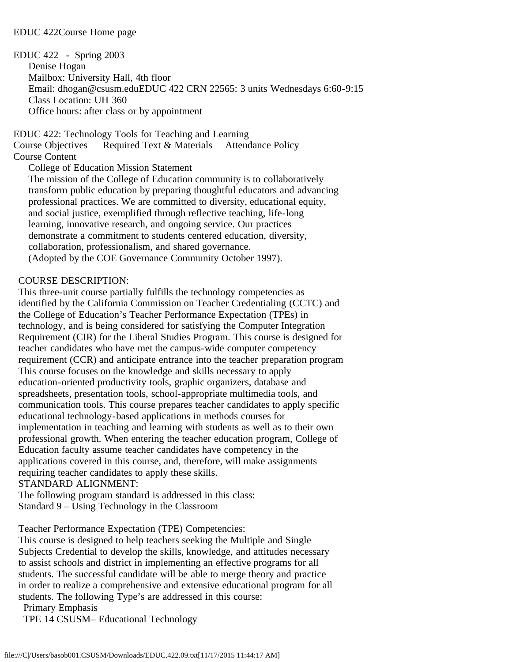#### EDUC 422Course Home page

EDUC 422 - Spring 2003 Denise Hogan Mailbox: University Hall, 4th floor Email: dhogan@csusm.eduEDUC 422 CRN 22565: 3 units Wednesdays 6:60-9:15 Class Location: UH 360 Office hours: after class or by appointment

EDUC 422: Technology Tools for Teaching and Learning

Course Objectives Required Text & Materials Attendance Policy

## Course Content

College of Education Mission Statement

 The mission of the College of Education community is to collaboratively transform public education by preparing thoughtful educators and advancing professional practices. We are committed to diversity, educational equity, and social justice, exemplified through reflective teaching, life-long learning, innovative research, and ongoing service. Our practices demonstrate a commitment to students centered education, diversity, collaboration, professionalism, and shared governance. (Adopted by the COE Governance Community October 1997).

#### COURSE DESCRIPTION:

 This three-unit course partially fulfills the technology competencies as identified by the California Commission on Teacher Credentialing (CCTC) and the College of Education's Teacher Performance Expectation (TPEs) in technology, and is being considered for satisfying the Computer Integration Requirement (CIR) for the Liberal Studies Program. This course is designed for teacher candidates who have met the campus-wide computer competency requirement (CCR) and anticipate entrance into the teacher preparation program This course focuses on the knowledge and skills necessary to apply education-oriented productivity tools, graphic organizers, database and spreadsheets, presentation tools, school-appropriate multimedia tools, and communication tools. This course prepares teacher candidates to apply specific educational technology-based applications in methods courses for implementation in teaching and learning with students as well as to their own professional growth. When entering the teacher education program, College of Education faculty assume teacher candidates have competency in the applications covered in this course, and, therefore, will make assignments requiring teacher candidates to apply these skills. STANDARD ALIGNMENT:

 The following program standard is addressed in this class: Standard 9 – Using Technology in the Classroom

Teacher Performance Expectation (TPE) Competencies:

 This course is designed to help teachers seeking the Multiple and Single Subjects Credential to develop the skills, knowledge, and attitudes necessary to assist schools and district in implementing an effective programs for all students. The successful candidate will be able to merge theory and practice in order to realize a comprehensive and extensive educational program for all students. The following Type's are addressed in this course:

Primary Emphasis

TPE 14 CSUSM– Educational Technology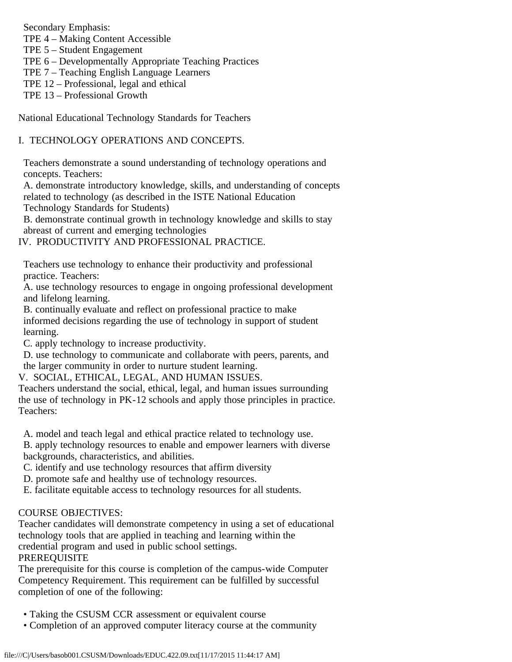Secondary Emphasis:

TPE 4 – Making Content Accessible

TPE 5 – Student Engagement

TPE 6 – Developmentally Appropriate Teaching Practices

- TPE 7 Teaching English Language Learners
- TPE 12 Professional, legal and ethical
- TPE 13 Professional Growth

National Educational Technology Standards for Teachers

## I. TECHNOLOGY OPERATIONS AND CONCEPTS.

 Teachers demonstrate a sound understanding of technology operations and concepts. Teachers:

 A. demonstrate introductory knowledge, skills, and understanding of concepts related to technology (as described in the ISTE National Education

Technology Standards for Students)

 B. demonstrate continual growth in technology knowledge and skills to stay abreast of current and emerging technologies

IV. PRODUCTIVITY AND PROFESSIONAL PRACTICE.

 Teachers use technology to enhance their productivity and professional practice. Teachers:

 A. use technology resources to engage in ongoing professional development and lifelong learning.

 B. continually evaluate and reflect on professional practice to make informed decisions regarding the use of technology in support of student learning.

C. apply technology to increase productivity.

 D. use technology to communicate and collaborate with peers, parents, and the larger community in order to nurture student learning.

V. SOCIAL, ETHICAL, LEGAL, AND HUMAN ISSUES.

 Teachers understand the social, ethical, legal, and human issues surrounding the use of technology in PK-12 schools and apply those principles in practice. Teachers:

A. model and teach legal and ethical practice related to technology use.

 B. apply technology resources to enable and empower learners with diverse backgrounds, characteristics, and abilities.

C. identify and use technology resources that affirm diversity

D. promote safe and healthy use of technology resources.

E. facilitate equitable access to technology resources for all students.

## COURSE OBJECTIVES:

 Teacher candidates will demonstrate competency in using a set of educational technology tools that are applied in teaching and learning within the credential program and used in public school settings.

# PREREQUISITE

 The prerequisite for this course is completion of the campus-wide Computer Competency Requirement. This requirement can be fulfilled by successful completion of one of the following:

- Taking the CSUSM CCR assessment or equivalent course
- Completion of an approved computer literacy course at the community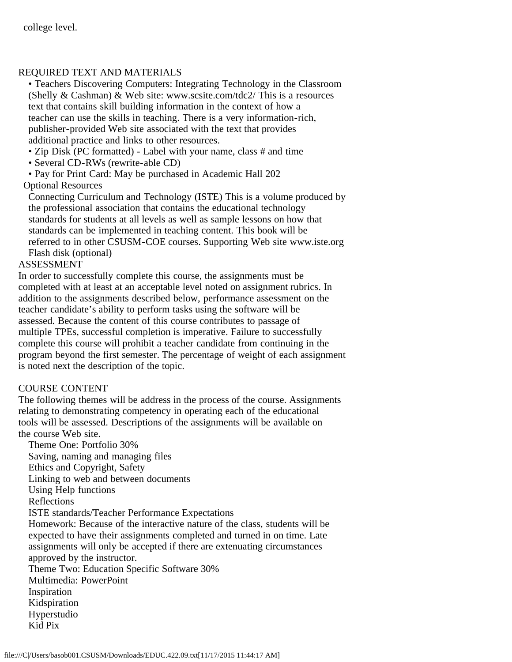## REQUIRED TEXT AND MATERIALS

 • Teachers Discovering Computers: Integrating Technology in the Classroom (Shelly & Cashman) & Web site: www.scsite.com/tdc2/ This is a resources text that contains skill building information in the context of how a teacher can use the skills in teaching. There is a very information-rich, publisher-provided Web site associated with the text that provides additional practice and links to other resources.

- Zip Disk (PC formatted) Label with your name, class # and time
- Several CD-RWs (rewrite-able CD)

 • Pay for Print Card: May be purchased in Academic Hall 202 Optional Resources

 Connecting Curriculum and Technology (ISTE) This is a volume produced by the professional association that contains the educational technology standards for students at all levels as well as sample lessons on how that standards can be implemented in teaching content. This book will be referred to in other CSUSM-COE courses. Supporting Web site www.iste.org Flash disk (optional)

## ASSESSMENT

 In order to successfully complete this course, the assignments must be completed with at least at an acceptable level noted on assignment rubrics. In addition to the assignments described below, performance assessment on the teacher candidate's ability to perform tasks using the software will be assessed. Because the content of this course contributes to passage of multiple TPEs, successful completion is imperative. Failure to successfully complete this course will prohibit a teacher candidate from continuing in the program beyond the first semester. The percentage of weight of each assignment is noted next the description of the topic.

## COURSE CONTENT

 The following themes will be address in the process of the course. Assignments relating to demonstrating competency in operating each of the educational tools will be assessed. Descriptions of the assignments will be available on the course Web site.

 Theme One: Portfolio 30% Saving, naming and managing files Ethics and Copyright, Safety Linking to web and between documents Using Help functions Reflections ISTE standards/Teacher Performance Expectations Homework: Because of the interactive nature of the class, students will be expected to have their assignments completed and turned in on time. Late assignments will only be accepted if there are extenuating circumstances approved by the instructor. Theme Two: Education Specific Software 30% Multimedia: PowerPoint Inspiration Kidspiration Hyperstudio Kid Pix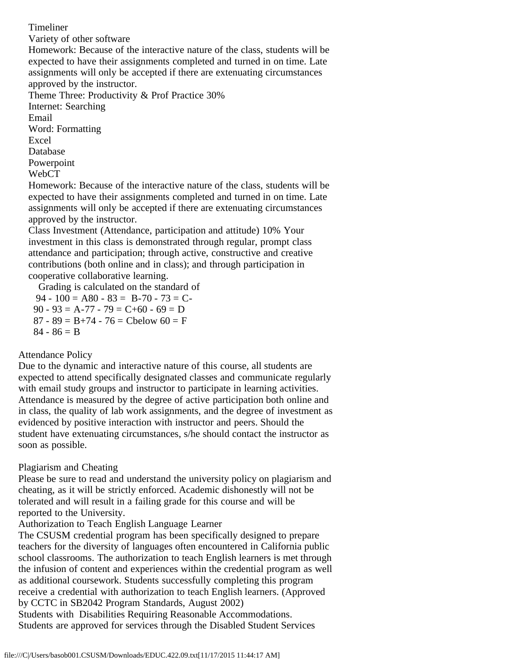Timeliner Variety of other software Homework: Because of the interactive nature of the class, students will be expected to have their assignments completed and turned in on time. Late assignments will only be accepted if there are extenuating circumstances approved by the instructor. Theme Three: Productivity & Prof Practice 30% Internet: Searching Email Word: Formatting Excel Database Powerpoint WebCT Homework: Because of the interactive nature of the class, students will be

 expected to have their assignments completed and turned in on time. Late assignments will only be accepted if there are extenuating circumstances approved by the instructor.

 Class Investment (Attendance, participation and attitude) 10% Your investment in this class is demonstrated through regular, prompt class attendance and participation; through active, constructive and creative contributions (both online and in class); and through participation in cooperative collaborative learning.

 Grading is calculated on the standard of 94 - 100 = A80 - 83 = B-70 - 73 = C-

90 - 93 = A-77 - 79 =  $C+60$  - 69 = D  $87 - 89 = B + 74 - 76 = C$ below  $60 = F$  $84 - 86 = B$ 

#### Attendance Policy

 Due to the dynamic and interactive nature of this course, all students are expected to attend specifically designated classes and communicate regularly with email study groups and instructor to participate in learning activities. Attendance is measured by the degree of active participation both online and in class, the quality of lab work assignments, and the degree of investment as evidenced by positive interaction with instructor and peers. Should the student have extenuating circumstances, s/he should contact the instructor as soon as possible.

#### Plagiarism and Cheating

 Please be sure to read and understand the university policy on plagiarism and cheating, as it will be strictly enforced. Academic dishonestly will not be tolerated and will result in a failing grade for this course and will be reported to the University.

#### Authorization to Teach English Language Learner

 The CSUSM credential program has been specifically designed to prepare teachers for the diversity of languages often encountered in California public school classrooms. The authorization to teach English learners is met through the infusion of content and experiences within the credential program as well as additional coursework. Students successfully completing this program receive a credential with authorization to teach English learners. (Approved by CCTC in SB2042 Program Standards, August 2002) Students with Disabilities Requiring Reasonable Accommodations.

Students are approved for services through the Disabled Student Services